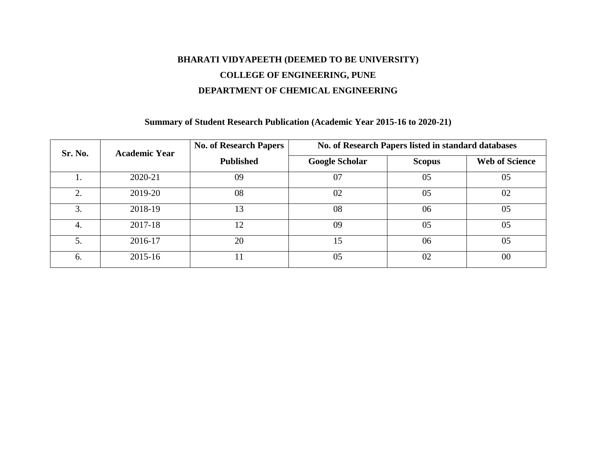# **BHARATI VIDYAPEETH (DEEMED TO BE UNIVERSITY) COLLEGE OF ENGINEERING, PUNE DEPARTMENT OF CHEMICAL ENGINEERING**

#### **Summary of Student Research Publication (Academic Year 2015-16 to 2020-21)**

| Sr. No. | <b>Academic Year</b> | <b>No. of Research Papers</b> | No. of Research Papers listed in standard databases |               |                       |  |  |  |  |
|---------|----------------------|-------------------------------|-----------------------------------------------------|---------------|-----------------------|--|--|--|--|
|         |                      | <b>Published</b>              | <b>Google Scholar</b>                               | <b>Scopus</b> | <b>Web of Science</b> |  |  |  |  |
|         | 2020-21              | 09                            | 07                                                  | 05            | 05                    |  |  |  |  |
| 2.      | 2019-20              | 08                            | 02                                                  | 05            | 02                    |  |  |  |  |
| 3.      | 2018-19              | 13                            | 08                                                  | 06            | 05                    |  |  |  |  |
| 4.      | 2017-18              | 12                            | 09                                                  | 05            | 05                    |  |  |  |  |
| 5.      | 2016-17              | 20                            | 15                                                  | 06            | 05                    |  |  |  |  |
| 6.      | 2015-16              | 11                            | 05                                                  | 02            | 00                    |  |  |  |  |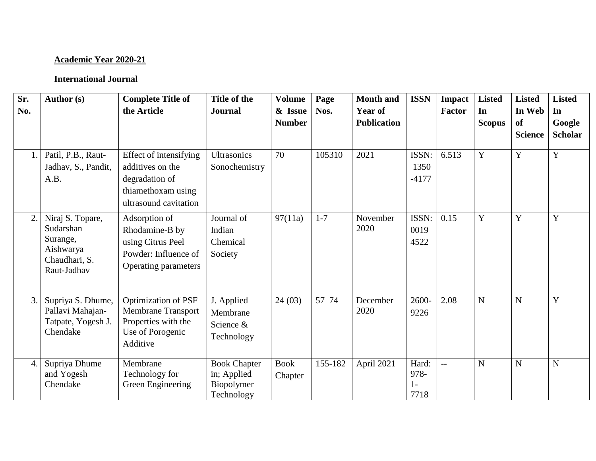# **Academic Year 2020-21**

| Sr.<br>No.     | <b>Author</b> (s)                                                                      | <b>Complete Title of</b><br>the Article                                                                        | Title of the<br><b>Journal</b>                                 | <b>Volume</b><br>& Issue<br><b>Number</b> | Page<br>Nos. | <b>Month</b> and<br><b>Year of</b><br><b>Publication</b> | <b>ISSN</b>                 | <b>Impact</b><br>Factor  | <b>Listed</b><br>In<br><b>Scopus</b> | <b>Listed</b><br>In Web<br>of<br><b>Science</b> | <b>Listed</b><br>In<br>Google<br><b>Scholar</b> |
|----------------|----------------------------------------------------------------------------------------|----------------------------------------------------------------------------------------------------------------|----------------------------------------------------------------|-------------------------------------------|--------------|----------------------------------------------------------|-----------------------------|--------------------------|--------------------------------------|-------------------------------------------------|-------------------------------------------------|
|                | Patil, P.B., Raut-<br>Jadhav, S., Pandit,<br>A.B.                                      | Effect of intensifying<br>additives on the<br>degradation of<br>thiamethoxam using<br>ultrasound cavitation    | <b>Ultrasonics</b><br>Sonochemistry                            | 70                                        | 105310       | 2021                                                     | ISSN:<br>1350<br>$-4177$    | 6.513                    | Y                                    | Y                                               | Y                                               |
| $\overline{2}$ | Niraj S. Topare,<br>Sudarshan<br>Surange,<br>Aishwarya<br>Chaudhari, S.<br>Raut-Jadhav | Adsorption of<br>Rhodamine-B by<br>using Citrus Peel<br>Powder: Influence of<br>Operating parameters           | Journal of<br>Indian<br>Chemical<br>Society                    | 97(11a)                                   | $1 - 7$      | November<br>2020                                         | ISSN:<br>0019<br>4522       | 0.15                     | Y                                    | Y                                               | Y                                               |
| 3.             | Supriya S. Dhume,<br>Pallavi Mahajan-<br>Tatpate, Yogesh J.<br>Chendake                | <b>Optimization of PSF</b><br><b>Membrane Transport</b><br>Properties with the<br>Use of Porogenic<br>Additive | J. Applied<br>Membrane<br>Science &<br>Technology              | 24(03)                                    | $57 - 74$    | December<br>2020                                         | 2600-<br>9226               | 2.08                     | $\mathbf N$                          | $\mathbf N$                                     | Y                                               |
| 4.             | Supriya Dhume<br>and Yogesh<br>Chendake                                                | Membrane<br>Technology for<br>Green Engineering                                                                | <b>Book Chapter</b><br>in; Applied<br>Biopolymer<br>Technology | <b>Book</b><br>Chapter                    | 155-182      | April 2021                                               | Hard:<br>978-<br>1-<br>7718 | $\overline{\phantom{a}}$ | N                                    | $\mathbf N$                                     | N                                               |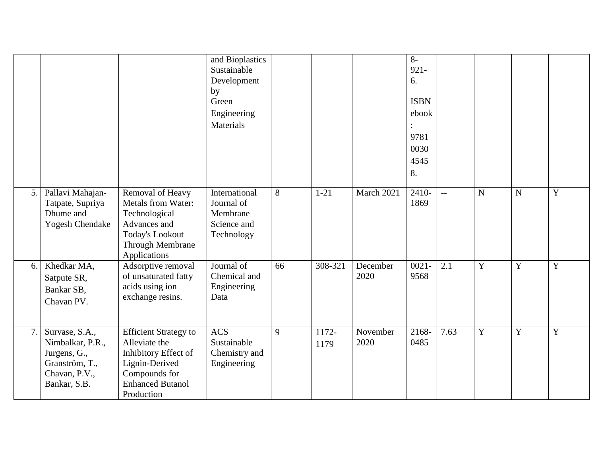|    |                                                                                                       |                                                                                                                                                   | and Bioplastics<br>Sustainable<br>Development<br>by<br>Green<br>Engineering<br>Materials |    |               |                  | $8-$<br>$921 -$<br>6.<br><b>ISBN</b><br>ebook<br>9781<br>0030<br>4545<br>8. |      |                |             |             |
|----|-------------------------------------------------------------------------------------------------------|---------------------------------------------------------------------------------------------------------------------------------------------------|------------------------------------------------------------------------------------------|----|---------------|------------------|-----------------------------------------------------------------------------|------|----------------|-------------|-------------|
| 5. | Pallavi Mahajan-<br>Tatpate, Supriya<br>Dhume and<br><b>Yogesh Chendake</b>                           | Removal of Heavy<br>Metals from Water:<br>Technological<br>Advances and<br>Today's Lookout<br>Through Membrane<br>Applications                    | International<br>Journal of<br>Membrane<br>Science and<br>Technology                     | 8  | $1 - 21$      | March 2021       | $2410-$<br>1869                                                             | $-$  | $\overline{N}$ | $\mathbf N$ | $\mathbf Y$ |
| 6. | Khedkar MA,<br>Satpute SR,<br>Bankar SB,<br>Chavan PV.                                                | Adsorptive removal<br>of unsaturated fatty<br>acids using ion<br>exchange resins.                                                                 | Journal of<br>Chemical and<br>Engineering<br>Data                                        | 66 | 308-321       | December<br>2020 | $0021 -$<br>9568                                                            | 2.1  | Y              | Y           | $\mathbf Y$ |
| 7. | Survase, S.A.,<br>Nimbalkar, P.R.,<br>Jurgens, G.,<br>Granström, T.,<br>Chavan, P.V.,<br>Bankar, S.B. | <b>Efficient Strategy to</b><br>Alleviate the<br>Inhibitory Effect of<br>Lignin-Derived<br>Compounds for<br><b>Enhanced Butanol</b><br>Production | <b>ACS</b><br>Sustainable<br>Chemistry and<br>Engineering                                | 9  | 1172-<br>1179 | November<br>2020 | 2168-<br>0485                                                               | 7.63 | $\overline{Y}$ | Y           | $\mathbf Y$ |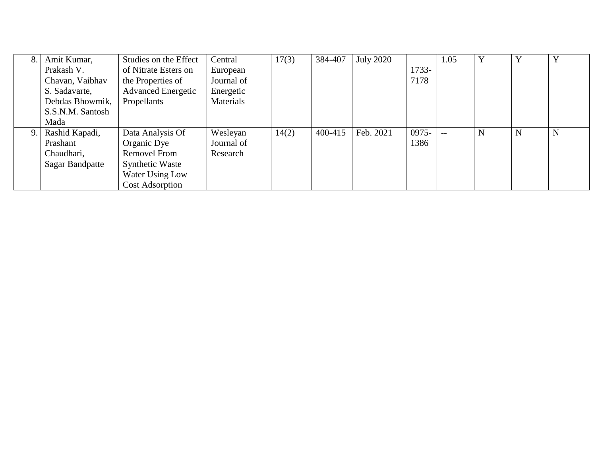| 8. | Amit Kumar,            | Studies on the Effect     | Central    | 17(3) | 384-407 | <b>July 2020</b> |       | 1.05 |   | Y | Y |
|----|------------------------|---------------------------|------------|-------|---------|------------------|-------|------|---|---|---|
|    | Prakash V.             | of Nitrate Esters on      | European   |       |         |                  | 1733- |      |   |   |   |
|    | Chavan, Vaibhav        | the Properties of         | Journal of |       |         |                  | 7178  |      |   |   |   |
|    | S. Sadavarte,          | <b>Advanced Energetic</b> | Energetic  |       |         |                  |       |      |   |   |   |
|    | Debdas Bhowmik,        | Propellants               | Materials  |       |         |                  |       |      |   |   |   |
|    | S.S.N.M. Santosh       |                           |            |       |         |                  |       |      |   |   |   |
|    | Mada                   |                           |            |       |         |                  |       |      |   |   |   |
| 9. | Rashid Kapadi,         | Data Analysis Of          | Wesleyan   | 14(2) | 400-415 | Feb. 2021        | 0975- |      | N | N | N |
|    | Prashant               | Organic Dye               | Journal of |       |         |                  | 1386  |      |   |   |   |
|    | Chaudhari,             | <b>Removel From</b>       | Research   |       |         |                  |       |      |   |   |   |
|    | <b>Sagar Bandpatte</b> | <b>Synthetic Waste</b>    |            |       |         |                  |       |      |   |   |   |
|    |                        | Water Using Low           |            |       |         |                  |       |      |   |   |   |
|    |                        | <b>Cost Adsorption</b>    |            |       |         |                  |       |      |   |   |   |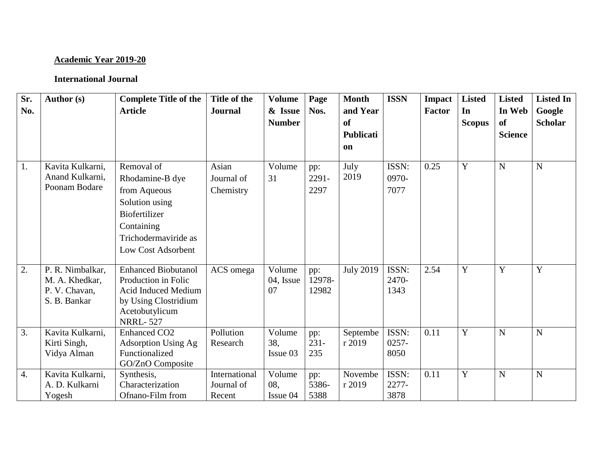## **Academic Year 2019-20**

| Sr.              | Author (s)                                                          | <b>Complete Title of the</b>                                                                                                                        | Title of the                          | <b>Volume</b>             | Page                    | <b>Month</b>                             | <b>ISSN</b>               | <b>Impact</b> | <b>Listed</b>       | <b>Listed</b>                         | <b>Listed In</b>         |
|------------------|---------------------------------------------------------------------|-----------------------------------------------------------------------------------------------------------------------------------------------------|---------------------------------------|---------------------------|-------------------------|------------------------------------------|---------------------------|---------------|---------------------|---------------------------------------|--------------------------|
| No.              |                                                                     | <b>Article</b>                                                                                                                                      | <b>Journal</b>                        | & Issue<br><b>Number</b>  | Nos.                    | and Year<br>of<br><b>Publicati</b><br>on |                           | <b>Factor</b> | In<br><b>Scopus</b> | In Web<br><b>of</b><br><b>Science</b> | Google<br><b>Scholar</b> |
| 1.               | Kavita Kulkarni,<br>Anand Kulkarni,<br>Poonam Bodare                | Removal of<br>Rhodamine-B dye<br>from Aqueous<br>Solution using<br><b>Biofertilizer</b><br>Containing<br>Trichodermaviride as<br>Low Cost Adsorbent | Asian<br>Journal of<br>Chemistry      | Volume<br>31              | pp:<br>$2291 -$<br>2297 | July<br>2019                             | ISSN:<br>0970-<br>7077    | 0.25          | $\mathbf Y$         | ${\bf N}$                             | $\mathbf N$              |
| $\overline{2}$ . | P. R. Nimbalkar,<br>M. A. Khedkar,<br>P. V. Chavan,<br>S. B. Bankar | <b>Enhanced Biobutanol</b><br>Production in Folic<br><b>Acid Induced Medium</b><br>by Using Clostridium<br>Acetobutylicum<br><b>NRRL-527</b>        | ACS omega                             | Volume<br>04, Issue<br>07 | pp:<br>12978-<br>12982  | <b>July 2019</b>                         | ISSN:<br>2470-<br>1343    | 2.54          | $\overline{Y}$      | $\overline{Y}$                        | $\overline{Y}$           |
| 3.               | Kavita Kulkarni,<br>Kirti Singh,<br>Vidya Alman                     | <b>Enhanced CO2</b><br><b>Adsorption Using Ag</b><br>Functionalized<br>GO/ZnO Composite                                                             | Pollution<br>Research                 | Volume<br>38,<br>Issue 03 | pp:<br>$231 -$<br>235   | Septembe<br>r 2019                       | ISSN:<br>$0257 -$<br>8050 | 0.11          | Y                   | N                                     | $\mathbf N$              |
| 4.               | Kavita Kulkarni,<br>A. D. Kulkarni<br>Yogesh                        | Synthesis,<br>Characterization<br>Ofnano-Film from                                                                                                  | International<br>Journal of<br>Recent | Volume<br>08,<br>Issue 04 | pp:<br>5386-<br>5388    | Novembe<br>r 2019                        | ISSN:<br>2277-<br>3878    | 0.11          | Y                   | N                                     | $\mathbf N$              |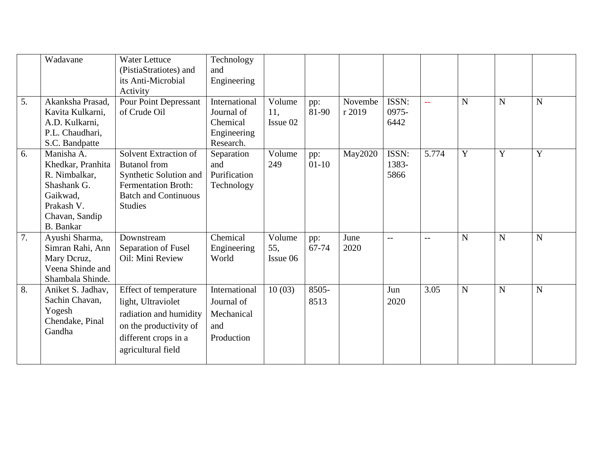|    | Wadavane          | <b>Water Lettuce</b><br>(PistiaStratiotes) and | Technology<br>and |          |         |         |                   |                 |                |                |                |
|----|-------------------|------------------------------------------------|-------------------|----------|---------|---------|-------------------|-----------------|----------------|----------------|----------------|
|    |                   | its Anti-Microbial                             | Engineering       |          |         |         |                   |                 |                |                |                |
|    |                   | Activity                                       |                   |          |         |         |                   |                 |                |                |                |
| 5. | Akanksha Prasad,  | <b>Pour Point Depressant</b>                   | International     | Volume   | pp:     | Novembe | ISSN:             | $\perp$ $\perp$ | $\mathbf N$    | $\mathbf N$    | N              |
|    | Kavita Kulkarni,  | of Crude Oil                                   | Journal of        | 11,      | 81-90   | r 2019  | 0975-             |                 |                |                |                |
|    | A.D. Kulkarni,    |                                                | Chemical          | Issue 02 |         |         | 6442              |                 |                |                |                |
|    | P.L. Chaudhari,   |                                                | Engineering       |          |         |         |                   |                 |                |                |                |
|    | S.C. Bandpatte    |                                                | Research.         |          |         |         |                   |                 |                |                |                |
| 6. | Manisha A.        | Solvent Extraction of                          | Separation        | Volume   | pp:     | May2020 | ISSN:             | 5.774           | $\overline{Y}$ | $\overline{Y}$ | $\overline{Y}$ |
|    | Khedkar, Pranhita | <b>Butanol</b> from                            | and               | 249      | $01-10$ |         | 1383-             |                 |                |                |                |
|    | R. Nimbalkar,     | Synthetic Solution and                         | Purification      |          |         |         | 5866              |                 |                |                |                |
|    | Shashank G.       | <b>Fermentation Broth:</b>                     | Technology        |          |         |         |                   |                 |                |                |                |
|    | Gaikwad,          | <b>Batch and Continuous</b>                    |                   |          |         |         |                   |                 |                |                |                |
|    | Prakash V.        | <b>Studies</b>                                 |                   |          |         |         |                   |                 |                |                |                |
|    | Chavan, Sandip    |                                                |                   |          |         |         |                   |                 |                |                |                |
|    | <b>B.</b> Bankar  |                                                |                   |          |         |         |                   |                 |                |                |                |
| 7. | Ayushi Sharma,    | Downstream                                     | Chemical          | Volume   | pp:     | June    | $\qquad \qquad -$ | $-$             | $\mathbf N$    | ${\bf N}$      | N              |
|    | Simran Rahi, Ann  | Separation of Fusel                            | Engineering       | 55,      | 67-74   | 2020    |                   |                 |                |                |                |
|    | Mary Deruz,       | Oil: Mini Review                               | World             | Issue 06 |         |         |                   |                 |                |                |                |
|    | Veena Shinde and  |                                                |                   |          |         |         |                   |                 |                |                |                |
|    | Shambala Shinde.  |                                                |                   |          |         |         |                   |                 |                |                |                |
| 8. | Aniket S. Jadhav, | Effect of temperature                          | International     | 10(03)   | 8505-   |         | Jun               | 3.05            | $\mathbf N$    | $\overline{N}$ | N              |
|    | Sachin Chavan,    | light, Ultraviolet                             | Journal of        |          | 8513    |         | 2020              |                 |                |                |                |
|    | Yogesh            | radiation and humidity                         | Mechanical        |          |         |         |                   |                 |                |                |                |
|    | Chendake, Pinal   | on the productivity of                         | and               |          |         |         |                   |                 |                |                |                |
|    | Gandha            | different crops in a                           | Production        |          |         |         |                   |                 |                |                |                |
|    |                   |                                                |                   |          |         |         |                   |                 |                |                |                |
|    |                   | agricultural field                             |                   |          |         |         |                   |                 |                |                |                |
|    |                   |                                                |                   |          |         |         |                   |                 |                |                |                |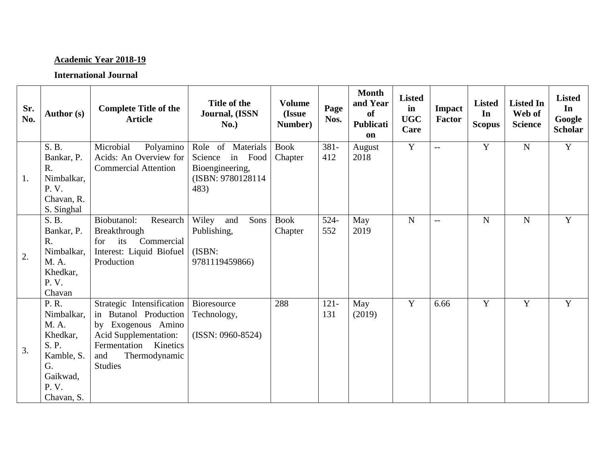# **Academic Year 2018-19**

| Sr.<br>No. | Author (s)                                                                                               | <b>Complete Title of the</b><br><b>Article</b>                                                                                                                          | Title of the<br>Journal, (ISSN<br>No.)                                                   | <b>Volume</b><br>(Issue<br>Number) | Page<br>Nos.   | <b>Month</b><br>and Year<br><b>of</b><br>Publicati<br>on | <b>Listed</b><br>in<br><b>UGC</b><br>Care | Impact<br><b>Factor</b> | <b>Listed</b><br>In<br><b>Scopus</b> | <b>Listed In</b><br>Web of<br><b>Science</b> | <b>Listed</b><br>In<br>Google<br><b>Scholar</b> |
|------------|----------------------------------------------------------------------------------------------------------|-------------------------------------------------------------------------------------------------------------------------------------------------------------------------|------------------------------------------------------------------------------------------|------------------------------------|----------------|----------------------------------------------------------|-------------------------------------------|-------------------------|--------------------------------------|----------------------------------------------|-------------------------------------------------|
| 1.         | S. B.<br>Bankar, P.<br>$R_{\cdot}$<br>Nimbalkar,<br>P.V.<br>Chavan, R.<br>S. Singhal                     | Microbial<br>Polyamino<br>Acids: An Overview for<br><b>Commercial Attention</b>                                                                                         | Role of Materials<br>Science<br>in Food<br>Bioengineering,<br>(ISBN: 9780128114)<br>483) | <b>Book</b><br>Chapter             | 381-<br>412    | August<br>2018                                           | $\overline{Y}$                            | $\overline{a}$          | Y                                    | $\mathbf N$                                  | $\overline{Y}$                                  |
| 2.         | S. B.<br>Bankar, P.<br>$R_{\cdot}$<br>Nimbalkar,<br>M. A.<br>Khedkar,<br>P. V.<br>Chavan                 | Biobutanol:<br>Research<br>Breakthrough<br>for its<br>Commercial<br>Interest: Liquid Biofuel<br>Production                                                              | Wiley<br>and<br>Sons<br>Publishing,<br>(ISBN:<br>9781119459866)                          | <b>Book</b><br>Chapter             | 524-<br>552    | May<br>2019                                              | ${\bf N}$                                 | $-$                     | $\mathbf N$                          | $\mathbf N$                                  | Y                                               |
| 3.         | P. R.<br>Nimbalkar,<br>M. A.<br>Khedkar,<br>S. P.<br>Kamble, S.<br>G.<br>Gaikwad,<br>P. V.<br>Chavan, S. | Strategic Intensification<br>in Butanol Production<br>by Exogenous Amino<br>Acid Supplementation:<br>Kinetics<br>Fermentation<br>Thermodynamic<br>and<br><b>Studies</b> | Bioresource<br>Technology,<br>$(ISSN: 0960-8524)$                                        | 288                                | $121 -$<br>131 | May<br>(2019)                                            | $\mathbf Y$                               | 6.66                    | Y                                    | $\mathbf Y$                                  | Y                                               |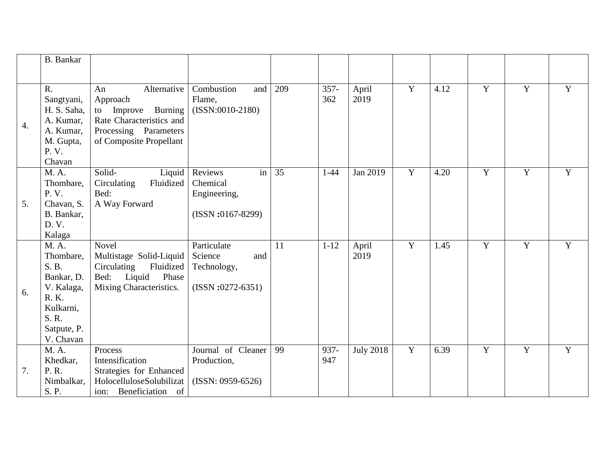|                  | <b>B.</b> Bankar                                                                                                   |                                                                                                                                        |                                                                                     |     |                |                  |                |      |                |                |   |
|------------------|--------------------------------------------------------------------------------------------------------------------|----------------------------------------------------------------------------------------------------------------------------------------|-------------------------------------------------------------------------------------|-----|----------------|------------------|----------------|------|----------------|----------------|---|
| $\overline{4}$ . | $R_{\cdot}$<br>Sangtyani,<br>H. S. Saha,<br>A. Kumar,<br>A. Kumar,<br>M. Gupta,<br>P. V.<br>Chavan                 | Alternative<br>An<br>Approach<br>Improve Burning<br>to<br>Rate Characteristics and<br>Processing Parameters<br>of Composite Propellant | Combustion<br>and<br>Flame,<br>$(ISSN:0010-2180)$                                   | 209 | $357 -$<br>362 | April<br>2019    | $\overline{Y}$ | 4.12 | Y              | Y              | Y |
| 5.               | M. A.<br>Thombare,<br>P.V.<br>Chavan, S.<br>B. Bankar,<br>D. V.<br>Kalaga                                          | Solid-<br>Liquid<br>Fluidized<br>Circulating<br>Bed:<br>A Way Forward                                                                  | $\overline{\text{in}}$<br>Reviews<br>Chemical<br>Engineering,<br>$(ISSN:0167-8299)$ | 35  | $1 - 44$       | Jan 2019         | $\overline{Y}$ | 4.20 | $\overline{Y}$ | $\overline{Y}$ | Y |
| 6.               | M. A.<br>Thombare,<br>S. B.<br>Bankar, D.<br>V. Kalaga,<br>R. K.<br>Kulkarni,<br>S. R.<br>Satpute, P.<br>V. Chavan | Novel<br>Multistage Solid-Liquid<br>Circulating<br>Fluidized<br>Bed: Liquid<br>Phase<br>Mixing Characteristics.                        | Particulate<br>Science<br>and<br>Technology,<br>$(ISSN:0272-6351)$                  | 11  | $1 - 12$       | April<br>2019    | $\overline{Y}$ | 1.45 | $\overline{Y}$ | $\overline{Y}$ | Y |
| 7.               | M. A.<br>Khedkar,<br>P. R.<br>Nimbalkar,<br>S. P.                                                                  | Process<br>Intensification<br>Strategies for Enhanced<br>HolocelluloseSolubilizat<br>ion: Beneficiation of                             | Journal of Cleaner<br>Production,<br>$(ISSN: 0959-6526)$                            | 99  | 937-<br>947    | <b>July 2018</b> | $\overline{Y}$ | 6.39 | Y              | Y              | Y |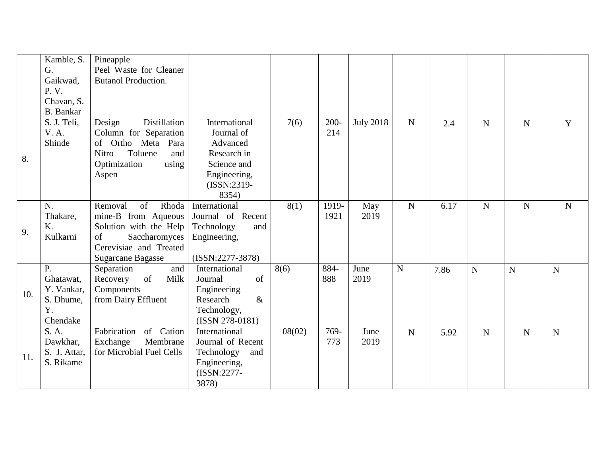|     | Kamble, S.       | Pineapple                      |                    |        |         |                  |             |      |                |             |             |
|-----|------------------|--------------------------------|--------------------|--------|---------|------------------|-------------|------|----------------|-------------|-------------|
|     | G.               | Peel Waste for Cleaner         |                    |        |         |                  |             |      |                |             |             |
|     | Gaikwad,         | <b>Butanol Production.</b>     |                    |        |         |                  |             |      |                |             |             |
|     | P. V.            |                                |                    |        |         |                  |             |      |                |             |             |
|     | Chavan, S.       |                                |                    |        |         |                  |             |      |                |             |             |
|     | <b>B.</b> Bankar |                                |                    |        |         |                  |             |      |                |             |             |
|     | S. J. Teli,      | <b>Distillation</b><br>Design  | International      | 7(6)   | $200 -$ | <b>July 2018</b> | $\mathbf N$ | 2.4  | ${\bf N}$      | $\mathbf N$ | Y           |
|     | <b>V.A.</b>      | Column for Separation          | Journal of         |        | 214     |                  |             |      |                |             |             |
|     | Shinde           | of Ortho Meta Para             | Advanced           |        |         |                  |             |      |                |             |             |
| 8.  |                  | Toluene<br><b>Nitro</b><br>and | Research in        |        |         |                  |             |      |                |             |             |
|     |                  | Optimization<br>using          | Science and        |        |         |                  |             |      |                |             |             |
|     |                  | Aspen                          | Engineering,       |        |         |                  |             |      |                |             |             |
|     |                  |                                | (ISSN:2319-        |        |         |                  |             |      |                |             |             |
|     |                  |                                | 8354)              |        |         |                  |             |      |                |             |             |
|     | N.               | of<br>Rhoda<br>Removal         | International      | 8(1)   | 1919-   | May              | $\mathbf N$ | 6.17 | $\overline{N}$ | $\mathbf N$ | $\mathbf N$ |
|     | Thakare,         | mine-B from Aqueous            | Journal of Recent  |        | 1921    | 2019             |             |      |                |             |             |
|     | K.               | Solution with the Help         | Technology<br>and  |        |         |                  |             |      |                |             |             |
| 9.  | Kulkarni         | of<br>Saccharomyces            | Engineering,       |        |         |                  |             |      |                |             |             |
|     |                  | Cerevisiae and Treated         |                    |        |         |                  |             |      |                |             |             |
|     |                  | <b>Sugarcane Bagasse</b>       | $(ISSN:2277-3878)$ |        |         |                  |             |      |                |             |             |
|     | P.               | Separation<br>and              | International      | 8(6)   | 884-    | June             | ${\bf N}$   | 7.86 | $\mathbf N$    | ${\bf N}$   | N           |
|     | Ghatawat,        | of<br>Milk<br>Recovery         | of<br>Journal      |        | 888     | 2019             |             |      |                |             |             |
| 10. | Y. Vankar,       | Components                     | Engineering        |        |         |                  |             |      |                |             |             |
|     | S. Dhume,        | from Dairy Effluent            | $\&$<br>Research   |        |         |                  |             |      |                |             |             |
|     | Y.               |                                | Technology,        |        |         |                  |             |      |                |             |             |
|     | Chendake         |                                | (ISSN 278-0181)    |        |         |                  |             |      |                |             |             |
|     | S. A.            | Fabrication<br>of Cation       | International      | 08(02) | 769-    | June             | $\mathbf N$ | 5.92 | $\mathbf N$    | $\mathbf N$ | $\mathbf N$ |
|     | Dawkhar,         | Exchange<br>Membrane           | Journal of Recent  |        | 773     | 2019             |             |      |                |             |             |
| 11. | S. J. Attar,     | for Microbial Fuel Cells       | Technology<br>and  |        |         |                  |             |      |                |             |             |
|     | S. Rikame        |                                | Engineering,       |        |         |                  |             |      |                |             |             |
|     |                  |                                | (ISSN:2277-        |        |         |                  |             |      |                |             |             |
|     |                  |                                | 3878)              |        |         |                  |             |      |                |             |             |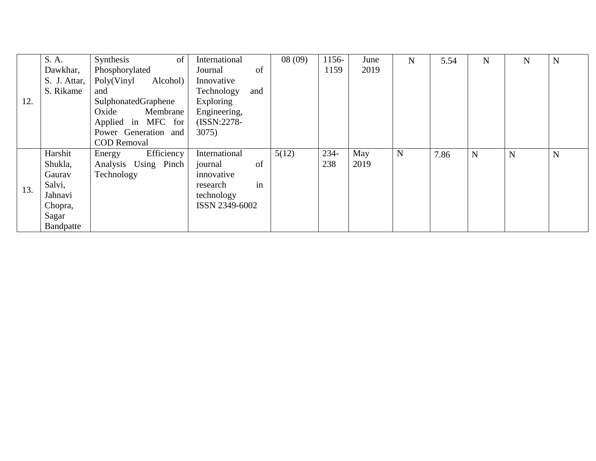|     | S. A.        | Synthesis<br>of        | International     | 08(09) | 1156- | June | N | 5.54 | N | N           | N |
|-----|--------------|------------------------|-------------------|--------|-------|------|---|------|---|-------------|---|
|     | Dawkhar,     | Phosphorylated         | of<br>Journal     |        | 1159  | 2019 |   |      |   |             |   |
|     | S. J. Attar, | Poly(Vinyl<br>Alcohol) | Innovative        |        |       |      |   |      |   |             |   |
|     | S. Rikame    | and                    | Technology<br>and |        |       |      |   |      |   |             |   |
| 12. |              | SulphonatedGraphene    | Exploring         |        |       |      |   |      |   |             |   |
|     |              | Membrane<br>Oxide      | Engineering,      |        |       |      |   |      |   |             |   |
|     |              | Applied in MFC for     | (ISSN:2278-       |        |       |      |   |      |   |             |   |
|     |              | Power Generation and   | 3075)             |        |       |      |   |      |   |             |   |
|     |              | <b>COD</b> Removal     |                   |        |       |      |   |      |   |             |   |
|     | Harshit      | Efficiency<br>Energy   | International     | 5(12)  | 234-  | May  | N | 7.86 | N | $\mathbf N$ | N |
|     | Shukla,      | Analysis Using Pinch   | of<br>journal     |        | 238   | 2019 |   |      |   |             |   |
|     | Gauray       | Technology             | innovative        |        |       |      |   |      |   |             |   |
| 13. | Salvi,       |                        | in<br>research    |        |       |      |   |      |   |             |   |
|     | Jahnavi      |                        | technology        |        |       |      |   |      |   |             |   |
|     | Chopra,      |                        | ISSN 2349-6002    |        |       |      |   |      |   |             |   |
|     | Sagar        |                        |                   |        |       |      |   |      |   |             |   |
|     | Bandpatte    |                        |                   |        |       |      |   |      |   |             |   |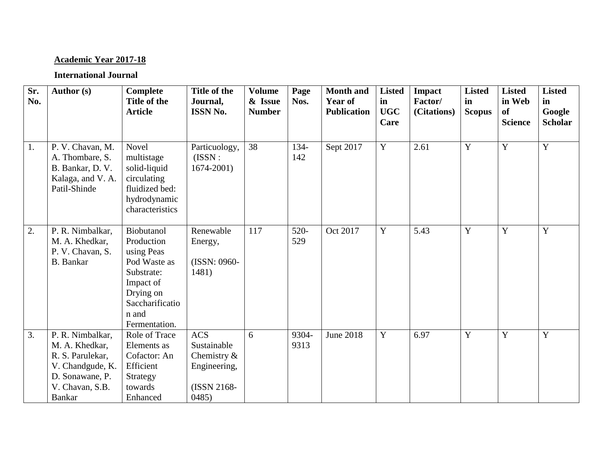# **Academic Year 2017-18**

| Sr.<br>No. | Author (s)                                                                                                                 | <b>Complete</b><br>Title of the<br><b>Article</b>                                                                                           | Title of the<br>Journal,<br><b>ISSN No.</b>                                         | <b>Volume</b><br>& Issue<br><b>Number</b> | Page<br>Nos.   | <b>Month and</b><br><b>Year of</b><br><b>Publication</b> | <b>Listed</b><br>in<br><b>UGC</b><br>Care | <b>Impact</b><br>Factor/<br>(Citations) | <b>Listed</b><br>in<br><b>Scopus</b> | <b>Listed</b><br>in Web<br><b>of</b><br><b>Science</b> | <b>Listed</b><br>in<br>Google<br><b>Scholar</b> |
|------------|----------------------------------------------------------------------------------------------------------------------------|---------------------------------------------------------------------------------------------------------------------------------------------|-------------------------------------------------------------------------------------|-------------------------------------------|----------------|----------------------------------------------------------|-------------------------------------------|-----------------------------------------|--------------------------------------|--------------------------------------------------------|-------------------------------------------------|
| 1.         | P. V. Chavan, M.<br>A. Thombare, S.<br>B. Bankar, D. V.<br>Kalaga, and V. A.<br>Patil-Shinde                               | Novel<br>multistage<br>solid-liquid<br>circulating<br>fluidized bed:<br>hydrodynamic<br>characteristics                                     | Particuology,<br>(ISSN:<br>$1674 - 2001$                                            | 38                                        | 134-<br>142    | Sept 2017                                                | $\overline{Y}$                            | 2.61                                    | $\overline{Y}$                       | $\overline{Y}$                                         | $\overline{Y}$                                  |
| 2.         | P. R. Nimbalkar,<br>M. A. Khedkar,<br>P. V. Chavan, S.<br><b>B.</b> Bankar                                                 | Biobutanol<br>Production<br>using Peas<br>Pod Waste as<br>Substrate:<br>Impact of<br>Drying on<br>Saccharificatio<br>n and<br>Fermentation. | Renewable<br>Energy,<br>(ISSN: 0960-<br>1481)                                       | 117                                       | $520 -$<br>529 | Oct 2017                                                 | Y                                         | 5.43                                    | Y                                    | Y                                                      | Y                                               |
| 3.         | P. R. Nimbalkar,<br>M. A. Khedkar,<br>R. S. Parulekar,<br>V. Chandgude, K.<br>D. Sonawane, P.<br>V. Chavan, S.B.<br>Bankar | Role of Trace<br>Elements as<br>Cofactor: An<br>Efficient<br>Strategy<br>towards<br>Enhanced                                                | <b>ACS</b><br>Sustainable<br>Chemistry $\&$<br>Engineering,<br>(ISSN 2168-<br>0485) | 6                                         | 9304-<br>9313  | <b>June 2018</b>                                         | $\overline{Y}$                            | 6.97                                    | $\overline{Y}$                       | $\overline{Y}$                                         | Y                                               |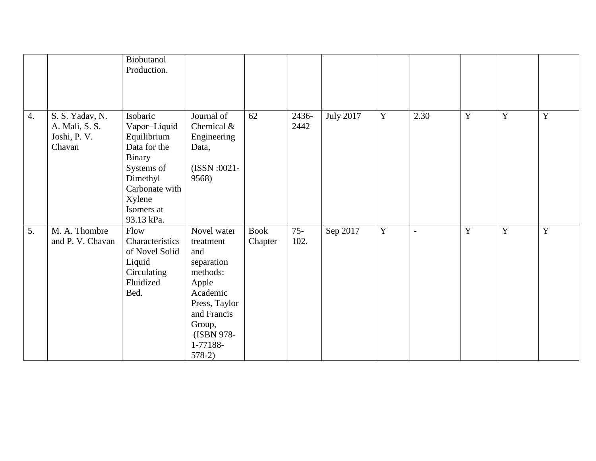|                  |                                                             | Biobutanol<br>Production.                                                                                                                           |                                                                                                                                                                |                        |                |                  |                |                          |                |                |             |
|------------------|-------------------------------------------------------------|-----------------------------------------------------------------------------------------------------------------------------------------------------|----------------------------------------------------------------------------------------------------------------------------------------------------------------|------------------------|----------------|------------------|----------------|--------------------------|----------------|----------------|-------------|
| $\overline{4}$ . | S. S. Yadav, N.<br>A. Mali, S. S.<br>Joshi, P. V.<br>Chavan | Isobaric<br>Vapor-Liquid<br>Equilibrium<br>Data for the<br>Binary<br>Systems of<br>Dimethyl<br>Carbonate with<br>Xylene<br>Isomers at<br>93.13 kPa. | Journal of<br>Chemical &<br>Engineering<br>Data,<br>(ISSN:0021-<br>9568)                                                                                       | 62                     | 2436-<br>2442  | <b>July 2017</b> | $\mathbf Y$    | 2.30                     | Y              | Y              | Y           |
| 5.               | M. A. Thombre<br>and P. V. Chavan                           | Flow<br>Characteristics<br>of Novel Solid<br>Liquid<br>Circulating<br>Fluidized<br>Bed.                                                             | Novel water<br>treatment<br>and<br>separation<br>methods:<br>Apple<br>Academic<br>Press, Taylor<br>and Francis<br>Group,<br>(ISBN 978-<br>1-77188-<br>$578-2)$ | <b>Book</b><br>Chapter | $75 -$<br>102. | Sep 2017         | $\overline{Y}$ | $\overline{\phantom{a}}$ | $\overline{Y}$ | $\overline{Y}$ | $\mathbf Y$ |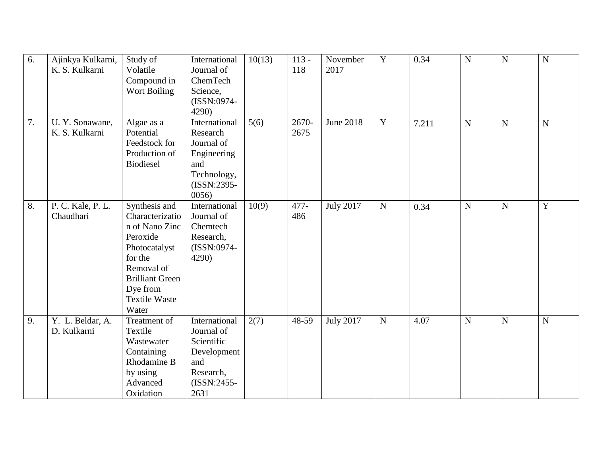| $\overline{6}$ . | Ajinkya Kulkarni,<br>K. S. Kulkarni | Study of<br>Volatile<br>Compound in<br>Wort Boiling                                                                                                                             | International<br>Journal of<br>ChemTech<br>Science,<br>(ISSN:0974-<br>4290)                           | 10(13) | $113 -$<br>118 | November<br>2017 | $\mathbf Y$ | 0.34  | $\mathbf N$    | $\mathbf N$    | ${\bf N}$      |
|------------------|-------------------------------------|---------------------------------------------------------------------------------------------------------------------------------------------------------------------------------|-------------------------------------------------------------------------------------------------------|--------|----------------|------------------|-------------|-------|----------------|----------------|----------------|
| 7.               | U.Y. Sonawane,<br>K. S. Kulkarni    | Algae as a<br>Potential<br>Feedstock for<br>Production of<br><b>Biodiesel</b>                                                                                                   | International<br>Research<br>Journal of<br>Engineering<br>and<br>Technology,<br>(ISSN:2395-<br>0056   | 5(6)   | 2670-<br>2675  | <b>June 2018</b> | $\mathbf Y$ | 7.211 | $\overline{N}$ | $\overline{N}$ | $\mathbf N$    |
| 8.               | P. C. Kale, P. L.<br>Chaudhari      | Synthesis and<br>Characterizatio<br>n of Nano Zinc<br>Peroxide<br>Photocatalyst<br>for the<br>Removal of<br><b>Brilliant Green</b><br>Dye from<br><b>Textile Waste</b><br>Water | International<br>Journal of<br>Chemtech<br>Research,<br>(ISSN:0974-<br>4290)                          | 10(9)  | 477-<br>486    | <b>July 2017</b> | ${\bf N}$   | 0.34  | $\mathbf N$    | $\overline{N}$ | $\overline{Y}$ |
| 9.               | Y. L. Beldar, A.<br>D. Kulkarni     | Treatment of<br>Textile<br>Wastewater<br>Containing<br>Rhodamine B<br>by using<br>Advanced<br>Oxidation                                                                         | International<br>Journal of<br>Scientific<br>Development<br>and<br>Research,<br>$(ISSN:2455-$<br>2631 | 2(7)   | 48-59          | <b>July 2017</b> | ${\bf N}$   | 4.07  | $\mathbf N$    | ${\bf N}$      | ${\bf N}$      |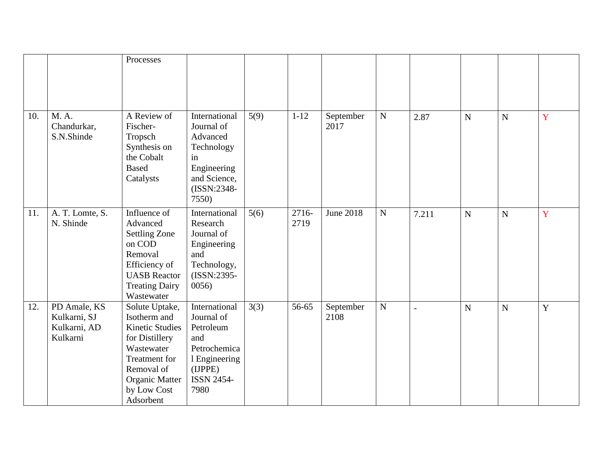|     |                                                          | Processes                                                                                                                                                                    |                                                                                                                          |      |               |                   |             |                |             |                |             |
|-----|----------------------------------------------------------|------------------------------------------------------------------------------------------------------------------------------------------------------------------------------|--------------------------------------------------------------------------------------------------------------------------|------|---------------|-------------------|-------------|----------------|-------------|----------------|-------------|
|     |                                                          |                                                                                                                                                                              |                                                                                                                          |      |               |                   |             |                |             |                |             |
| 10. | M. A.<br>Chandurkar,<br>S.N.Shinde                       | A Review of<br>Fischer-<br>Tropsch<br>Synthesis on<br>the Cobalt<br><b>Based</b><br>Catalysts                                                                                | International<br>Journal of<br>Advanced<br>Technology<br>in<br>Engineering<br>and Science,<br>$(ISSN:2348-$<br>7550)     | 5(9) | $1 - 12$      | September<br>2017 | $\mathbf N$ | 2.87           | $\mathbf N$ | $\overline{N}$ | Y           |
| 11. | A. T. Lomte, S.<br>N. Shinde                             | Influence of<br>Advanced<br><b>Settling Zone</b><br>on COD<br>Removal<br>Efficiency of<br><b>UASB</b> Reactor<br><b>Treating Dairy</b><br>Wastewater                         | International<br>Research<br>Journal of<br>Engineering<br>and<br>Technology,<br>(ISSN:2395-<br>0056)                     | 5(6) | 2716-<br>2719 | <b>June 2018</b>  | $\mathbf N$ | 7.211          | ${\bf N}$   | ${\bf N}$      | Y           |
| 12. | PD Amale, KS<br>Kulkarni, SJ<br>Kulkarni, AD<br>Kulkarni | Solute Uptake,<br>Isotherm and<br><b>Kinetic Studies</b><br>for Distillery<br>Wastewater<br>Treatment for<br>Removal of<br><b>Organic Matter</b><br>by Low Cost<br>Adsorbent | International<br>Journal of<br>Petroleum<br>and<br>Petrochemica<br>1 Engineering<br>(IJPPE)<br><b>ISSN 2454-</b><br>7980 | 3(3) | 56-65         | September<br>2108 | ${\bf N}$   | $\overline{a}$ | $\mathbf N$ | $\mathbf N$    | $\mathbf Y$ |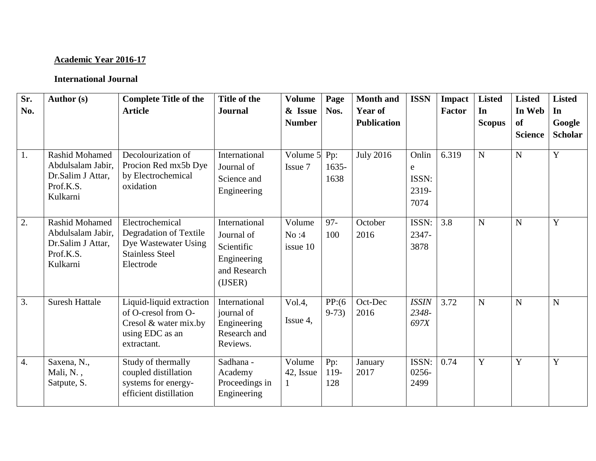# **Academic Year 2016-17**

| Sr.<br>No.       | Author (s)                                                                               | <b>Complete Title of the</b><br><b>Article</b>                                                             | Title of the<br><b>Journal</b>                                                      | <b>Volume</b><br>& Issue<br><b>Number</b> | Page<br>Nos.            | <b>Month and</b><br><b>Year of</b><br><b>Publication</b> | <b>ISSN</b>                                  | Impact<br>Factor | <b>Listed</b><br>In<br><b>Scopus</b> | <b>Listed</b><br>In Web<br><b>of</b><br><b>Science</b> | <b>Listed</b><br>In<br>Google<br><b>Scholar</b> |
|------------------|------------------------------------------------------------------------------------------|------------------------------------------------------------------------------------------------------------|-------------------------------------------------------------------------------------|-------------------------------------------|-------------------------|----------------------------------------------------------|----------------------------------------------|------------------|--------------------------------------|--------------------------------------------------------|-------------------------------------------------|
| $\overline{1}$ . | <b>Rashid Mohamed</b><br>Abdulsalam Jabir,<br>Dr.Salim J Attar,<br>Prof.K.S.<br>Kulkarni | Decolourization of<br>Procion Red mx5b Dye<br>by Electrochemical<br>oxidation                              | International<br>Journal of<br>Science and<br>Engineering                           | Volume 5<br>Issue 7                       | Pp:<br>$1635 -$<br>1638 | <b>July 2016</b>                                         | Onlin<br>${\bf e}$<br>ISSN:<br>2319-<br>7074 | 6.319            | N                                    | $\mathbf N$                                            | $\overline{Y}$                                  |
| $\overline{2}$ . | <b>Rashid Mohamed</b><br>Abdulsalam Jabir,<br>Dr.Salim J Attar,<br>Prof.K.S.<br>Kulkarni | Electrochemical<br>Degradation of Textile<br>Dye Wastewater Using<br><b>Stainless Steel</b><br>Electrode   | International<br>Journal of<br>Scientific<br>Engineering<br>and Research<br>(IJSER) | Volume<br>No:4<br>issue 10                | $97 -$<br>100           | October<br>2016                                          | ISSN:<br>2347-<br>3878                       | 3.8              | N                                    | $\mathbf N$                                            | $\mathbf Y$                                     |
| $\overline{3}$ . | <b>Suresh Hattale</b>                                                                    | Liquid-liquid extraction<br>of O-cresol from O-<br>Cresol & water mix.by<br>using EDC as an<br>extractant. | International<br>journal of<br>Engineering<br>Research and<br>Reviews.              | Vol.4,<br>Issue 4,                        | PP:(6)<br>$9-73)$       | Oct-Dec<br>2016                                          | <b>ISSIN</b><br>2348-<br>697X                | 3.72             | N                                    | $\mathbf N$                                            | N                                               |
| 4.               | Saxena, N.,<br>Mali, N.,<br>Satpute, S.                                                  | Study of thermally<br>coupled distillation<br>systems for energy-<br>efficient distillation                | Sadhana -<br>Academy<br>Proceedings in<br>Engineering                               | Volume<br>42, Issue                       | Pp:<br>119-<br>128      | January<br>2017                                          | ISSN:<br>0256-<br>2499                       | 0.74             | Y                                    | $\overline{Y}$                                         | Y                                               |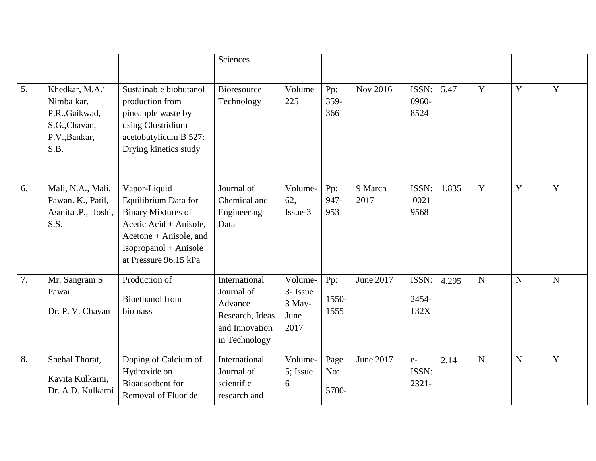|                  |                                                                                          |                                                                                                                                                                         | Sciences                                                                                     |                                               |                      |                 |                           |       |                |                |             |
|------------------|------------------------------------------------------------------------------------------|-------------------------------------------------------------------------------------------------------------------------------------------------------------------------|----------------------------------------------------------------------------------------------|-----------------------------------------------|----------------------|-----------------|---------------------------|-------|----------------|----------------|-------------|
| $\overline{5}$ . | Khedkar, M.A.'<br>Nimbalkar,<br>P.R., Gaikwad,<br>S.G., Chavan,<br>P.V., Bankar,<br>S.B. | Sustainable biobutanol<br>production from<br>pineapple waste by<br>using Clostridium<br>acetobutylicum B 527:<br>Drying kinetics study                                  | <b>Bioresource</b><br>Technology                                                             | Volume<br>225                                 | Pp:<br>359-<br>366   | Nov 2016        | ISSN:<br>0960-<br>8524    | 5.47  | Y              | Y              | Y           |
| 6.               | Mali, N.A., Mali,<br>Pawan. K., Patil,<br>Asmita .P., Joshi,<br>S.S.                     | Vapor-Liquid<br>Equilibrium Data for<br><b>Binary Mixtures of</b><br>Acetic Acid + Anisole,<br>Acetone + Anisole, and<br>Isopropanol + Anisole<br>at Pressure 96.15 kPa | Journal of<br>Chemical and<br>Engineering<br>Data                                            | Volume-<br>62,<br>Issue-3                     | Pp:<br>947-<br>953   | 9 March<br>2017 | ISSN:<br>0021<br>9568     | 1.835 | Y              | $\mathbf Y$    | Y           |
| 7.               | Mr. Sangram S<br>Pawar<br>Dr. P. V. Chavan                                               | Production of<br><b>Bioethanol</b> from<br>biomass                                                                                                                      | International<br>Journal of<br>Advance<br>Research, Ideas<br>and Innovation<br>in Technology | Volume-<br>3- Issue<br>3 May-<br>June<br>2017 | Pp:<br>1550-<br>1555 | June 2017       | ISSN:<br>2454-<br>132X    | 4.295 | $\mathbf N$    | $\mathbf N$    | $\mathbf N$ |
| 8.               | Snehal Thorat,<br>Kavita Kulkarni,<br>Dr. A.D. Kulkarni                                  | Doping of Calcium of<br>Hydroxide on<br>Bioadsorbent for<br>Removal of Fluoride                                                                                         | International<br>Journal of<br>scientific<br>research and                                    | Volume-<br>5; Issue<br>6                      | Page<br>No:<br>5700- | June 2017       | $e-$<br>ISSN:<br>$2321 -$ | 2.14  | $\overline{N}$ | $\overline{N}$ | Y           |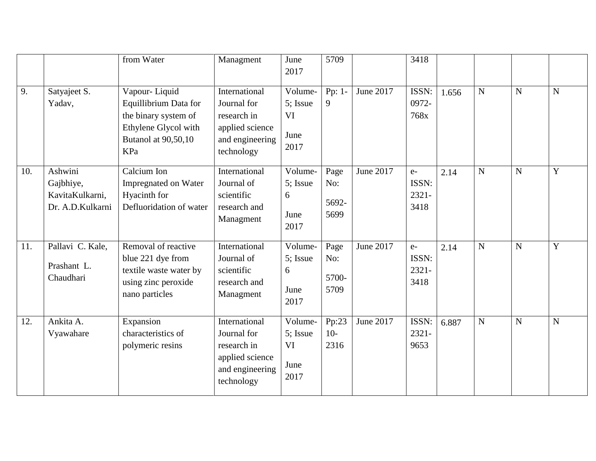|     |                                                             | from Water                                                                                                           | Managment                                                                                       | June<br>2017                                     | 5709                         |           | 3418                              |       |                |                |                |
|-----|-------------------------------------------------------------|----------------------------------------------------------------------------------------------------------------------|-------------------------------------------------------------------------------------------------|--------------------------------------------------|------------------------------|-----------|-----------------------------------|-------|----------------|----------------|----------------|
| 9.  | Satyajeet S.<br>Yadav,                                      | Vapour-Liquid<br>Equillibrium Data for<br>the binary system of<br>Ethylene Glycol with<br>Butanol at 90,50,10<br>KPa | International<br>Journal for<br>research in<br>applied science<br>and engineering<br>technology | Volume-<br>5; Issue<br><b>VI</b><br>June<br>2017 | Pp: 1-<br>9                  | June 2017 | ISSN:<br>0972-<br>768x            | 1.656 | $\mathbf N$    | ${\bf N}$      | $\mathbf N$    |
| 10. | Ashwini<br>Gajbhiye,<br>KavitaKulkarni,<br>Dr. A.D.Kulkarni | Calcium Ion<br>Impregnated on Water<br>Hyacinth for<br>Defluoridation of water                                       | International<br>Journal of<br>scientific<br>research and<br>Managment                          | Volume-<br>5; Issue<br>6<br>June<br>2017         | Page<br>No:<br>5692-<br>5699 | June 2017 | $e-$<br>ISSN:<br>$2321 -$<br>3418 | 2.14  | $\overline{N}$ | $\overline{N}$ | Y              |
| 11. | Pallavi C. Kale,<br>Prashant L.<br>Chaudhari                | Removal of reactive<br>blue 221 dye from<br>textile waste water by<br>using zinc peroxide<br>nano particles          | International<br>Journal of<br>scientific<br>research and<br>Managment                          | Volume-<br>5; Issue<br>6<br>June<br>2017         | Page<br>No:<br>5700-<br>5709 | June 2017 | $e-$<br>ISSN:<br>2321-<br>3418    | 2.14  | $\mathbf N$    | $\mathbf N$    | Y              |
| 12. | Ankita A.<br>Vyawahare                                      | Expansion<br>characteristics of<br>polymeric resins                                                                  | International<br>Journal for<br>research in<br>applied science<br>and engineering<br>technology | Volume-<br>5; Issue<br><b>VI</b><br>June<br>2017 | Pp:23<br>$10-$<br>2316       | June 2017 | ISSN:<br>$2321 -$<br>9653         | 6.887 | $\mathbf N$    | ${\bf N}$      | $\overline{N}$ |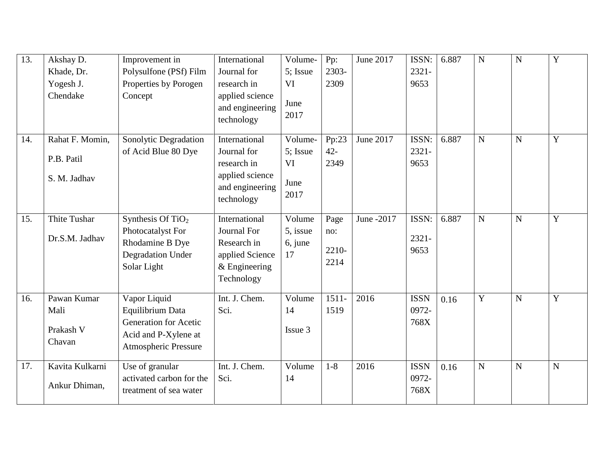| 13. | Akshay D.                                  | Improvement in                                                                                                          | International                                                                                   | Volume-                                | Pp:                          | June 2017  | ISSN:                        | 6.887 | $\mathbf N$    | $\mathbf N$    | $\overline{Y}$ |
|-----|--------------------------------------------|-------------------------------------------------------------------------------------------------------------------------|-------------------------------------------------------------------------------------------------|----------------------------------------|------------------------------|------------|------------------------------|-------|----------------|----------------|----------------|
|     | Khade, Dr.                                 | Polysulfone (PSf) Film                                                                                                  | Journal for                                                                                     | 5; Issue                               | 2303-                        |            | $2321 -$                     |       |                |                |                |
|     | Yogesh J.                                  | Properties by Porogen                                                                                                   | research in                                                                                     | <b>VI</b>                              | 2309                         |            | 9653                         |       |                |                |                |
|     | Chendake                                   | Concept                                                                                                                 | applied science<br>and engineering<br>technology                                                | June<br>2017                           |                              |            |                              |       |                |                |                |
| 14. | Rahat F. Momin,                            | Sonolytic Degradation                                                                                                   | International                                                                                   | Volume-                                | Pp:23                        | June 2017  | ISSN:                        | 6.887 | $\mathbf N$    | $\overline{N}$ | $\overline{Y}$ |
|     | P.B. Patil<br>S. M. Jadhav                 | of Acid Blue 80 Dye                                                                                                     | Journal for<br>research in<br>applied science<br>and engineering<br>technology                  | 5; Issue<br><b>VI</b><br>June<br>2017  | $42 -$<br>2349               |            | $2321 -$<br>9653             |       |                |                |                |
| 15. | Thite Tushar<br>Dr.S.M. Jadhav             | Synthesis Of TiO <sub>2</sub><br>Photocatalyst For<br>Rhodamine B Dye<br><b>Degradation Under</b><br>Solar Light        | International<br>Journal For<br>Research in<br>applied Science<br>$&$ Engineering<br>Technology | Volume<br>5, issue<br>$6$ , june<br>17 | Page<br>no:<br>2210-<br>2214 | June -2017 | ISSN:<br>$2321 -$<br>9653    | 6.887 | $\overline{N}$ | $\mathbf N$    | $\overline{Y}$ |
| 16. | Pawan Kumar<br>Mali<br>Prakash V<br>Chavan | Vapor Liquid<br>Equilibrium Data<br><b>Generation for Acetic</b><br>Acid and P-Xylene at<br><b>Atmospheric Pressure</b> | Int. J. Chem.<br>Sci.                                                                           | Volume<br>14<br>Issue 3                | $1511 -$<br>1519             | 2016       | <b>ISSN</b><br>0972-<br>768X | 0.16  | Y              | ${\bf N}$      | $\overline{Y}$ |
| 17. | Kavita Kulkarni<br>Ankur Dhiman,           | Use of granular<br>activated carbon for the<br>treatment of sea water                                                   | Int. J. Chem.<br>Sci.                                                                           | Volume<br>14                           | $1 - 8$                      | 2016       | <b>ISSN</b><br>0972-<br>768X | 0.16  | $\mathbf N$    | $\mathbf N$    | $\mathbf N$    |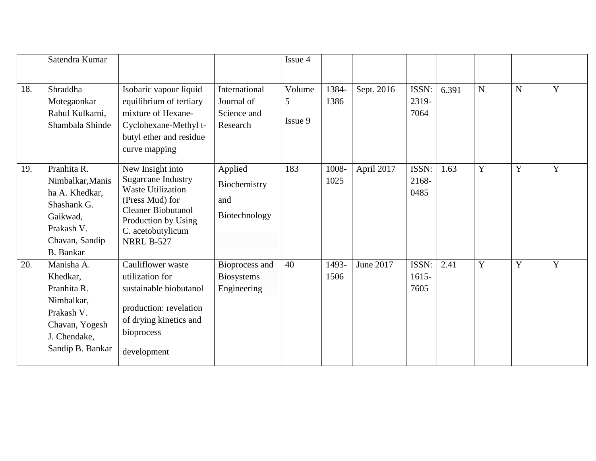|     | Satendra Kumar                                                                                                                   |                                                                                                                                                                                            |                                                        | Issue 4                |               |            |                           |       |   |                |   |
|-----|----------------------------------------------------------------------------------------------------------------------------------|--------------------------------------------------------------------------------------------------------------------------------------------------------------------------------------------|--------------------------------------------------------|------------------------|---------------|------------|---------------------------|-------|---|----------------|---|
| 18. | Shraddha<br>Motegaonkar<br>Rahul Kulkarni,<br>Shambala Shinde                                                                    | Isobaric vapour liquid<br>equilibrium of tertiary<br>mixture of Hexane-<br>Cyclohexane-Methyl t-<br>butyl ether and residue<br>curve mapping                                               | International<br>Journal of<br>Science and<br>Research | Volume<br>5<br>Issue 9 | 1384-<br>1386 | Sept. 2016 | ISSN:<br>2319-<br>7064    | 6.391 | N | $\mathbf N$    | Y |
| 19. | Pranhita R.<br>Nimbalkar, Manis<br>ha A. Khedkar,<br>Shashank G.<br>Gaikwad,<br>Prakash V.<br>Chavan, Sandip<br><b>B.</b> Bankar | New Insight into<br><b>Sugarcane Industry</b><br><b>Waste Utilization</b><br>(Press Mud) for<br><b>Cleaner Biobutanol</b><br>Production by Using<br>C. acetobutylicum<br><b>NRRL B-527</b> | Applied<br>Biochemistry<br>and<br>Biotechnology        | 183                    | 1008-<br>1025 | April 2017 | ISSN:<br>2168-<br>0485    | 1.63  | Y | Y              | Y |
| 20. | Manisha A.<br>Khedkar,<br>Pranhita R.<br>Nimbalkar,<br>Prakash V.<br>Chavan, Yogesh<br>J. Chendake,<br>Sandip B. Bankar          | Cauliflower waste<br>utilization for<br>sustainable biobutanol<br>production: revelation<br>of drying kinetics and<br>bioprocess<br>development                                            | Bioprocess and<br><b>Biosystems</b><br>Engineering     | 40                     | 1493-<br>1506 | June 2017  | ISSN:<br>$1615 -$<br>7605 | 2.41  | Y | $\overline{Y}$ | Y |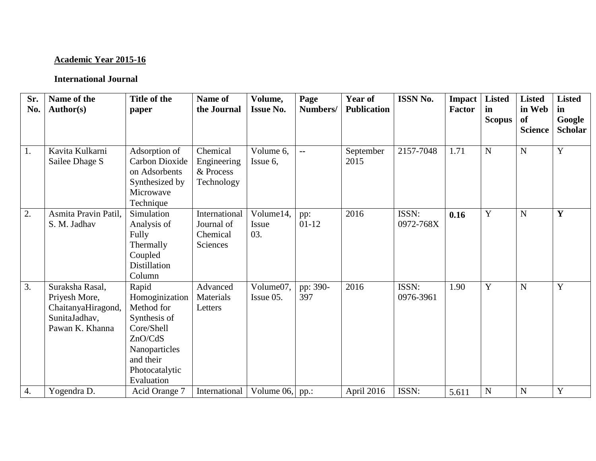# **Academic Year 2015-16**

| Sr.<br>No. | Name of the<br><b>Author(s)</b>                                                            | Title of the<br>paper                                                                                                                        | Name of<br>the Journal                              | Volume,<br><b>Issue No.</b> | Page<br>Numbers/ | <b>Year of</b><br><b>Publication</b> | <b>ISSN No.</b>    | <b>Impact</b><br><b>Factor</b> | <b>Listed</b><br>in<br><b>Scopus</b> | <b>Listed</b><br>in Web<br><b>of</b><br><b>Science</b> | <b>Listed</b><br>in<br>Google<br><b>Scholar</b> |
|------------|--------------------------------------------------------------------------------------------|----------------------------------------------------------------------------------------------------------------------------------------------|-----------------------------------------------------|-----------------------------|------------------|--------------------------------------|--------------------|--------------------------------|--------------------------------------|--------------------------------------------------------|-------------------------------------------------|
| 1.         | Kavita Kulkarni<br>Sailee Dhage S                                                          | Adsorption of<br><b>Carbon Dioxide</b><br>on Adsorbents<br>Synthesized by<br>Microwave<br>Technique                                          | Chemical<br>Engineering<br>& Process<br>Technology  | Volume 6,<br>Issue 6,       | $\mathbf{u}$     | September<br>2015                    | 2157-7048          | 1.71                           | $\mathbf N$                          | ${\bf N}$                                              | Y                                               |
| 2.         | Asmita Pravin Patil.<br>S. M. Jadhav                                                       | Simulation<br>Analysis of<br>Fully<br>Thermally<br>Coupled<br><b>Distillation</b><br>Column                                                  | International<br>Journal of<br>Chemical<br>Sciences | Volume14,<br>Issue<br>03.   | pp:<br>$01-12$   | 2016                                 | ISSN:<br>0972-768X | 0.16                           | Y                                    | ${\bf N}$                                              | Y                                               |
| 3.         | Suraksha Rasal,<br>Priyesh More,<br>ChaitanyaHiragond,<br>SunitaJadhav,<br>Pawan K. Khanna | Rapid<br>Homoginization<br>Method for<br>Synthesis of<br>Core/Shell<br>ZnO/CdS<br>Nanoparticles<br>and their<br>Photocatalytic<br>Evaluation | Advanced<br>Materials<br>Letters                    | Volume07,<br>Issue 05.      | pp: 390-<br>397  | 2016                                 | ISSN:<br>0976-3961 | 1.90                           | Y                                    | ${\bf N}$                                              | Y                                               |
| 4.         | Yogendra D.                                                                                | Acid Orange 7                                                                                                                                | International                                       | Volume 06,                  | pp.:             | April 2016                           | ISSN:              | 5.611                          | $\mathbf N$                          | ${\bf N}$                                              | $\mathbf Y$                                     |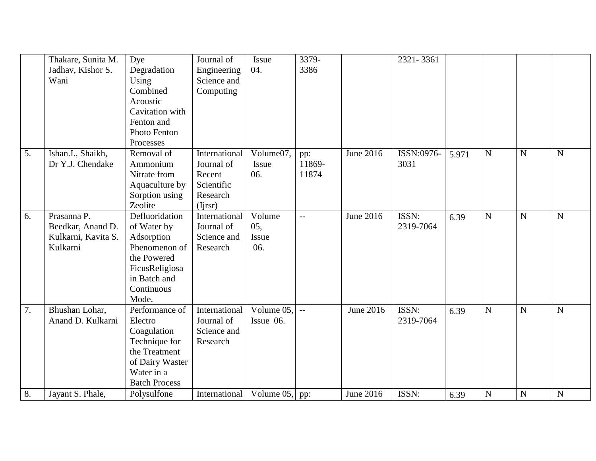|    | Thakare, Sunita M.  | Dye                  | Journal of    | Issue      | 3379-          |                  | 2321-3361  |       |                |             |             |
|----|---------------------|----------------------|---------------|------------|----------------|------------------|------------|-------|----------------|-------------|-------------|
|    | Jadhav, Kishor S.   | Degradation          | Engineering   | 04.        | 3386           |                  |            |       |                |             |             |
|    | Wani                | Using                | Science and   |            |                |                  |            |       |                |             |             |
|    |                     | Combined             | Computing     |            |                |                  |            |       |                |             |             |
|    |                     | Acoustic             |               |            |                |                  |            |       |                |             |             |
|    |                     | Cavitation with      |               |            |                |                  |            |       |                |             |             |
|    |                     | Fenton and           |               |            |                |                  |            |       |                |             |             |
|    |                     | Photo Fenton         |               |            |                |                  |            |       |                |             |             |
|    |                     | Processes            |               |            |                |                  |            |       |                |             |             |
| 5. | Ishan.I., Shaikh,   | Removal of           | International | Volume07,  | pp:            | June 2016        | ISSN:0976- | 5.971 | ${\bf N}$      | $\mathbf N$ | ${\bf N}$   |
|    | Dr Y.J. Chendake    | Ammonium             | Journal of    | Issue      | 11869-         |                  | 3031       |       |                |             |             |
|    |                     | Nitrate from         | Recent        | 06.        | 11874          |                  |            |       |                |             |             |
|    |                     | Aquaculture by       | Scientific    |            |                |                  |            |       |                |             |             |
|    |                     | Sorption using       | Research      |            |                |                  |            |       |                |             |             |
|    |                     | Zeolite              | (Ijrsr)       |            |                |                  |            |       |                |             |             |
| 6. | Prasanna P.         | Defluoridation       | International | Volume     | $-$            | June 2016        | ISSN:      | 6.39  | $\overline{N}$ | $\mathbf N$ | $\mathbf N$ |
|    | Beedkar, Anand D.   | of Water by          | Journal of    | 05,        |                |                  | 2319-7064  |       |                |             |             |
|    | Kulkarni, Kavita S. | Adsorption           | Science and   | Issue      |                |                  |            |       |                |             |             |
|    | Kulkarni            | Phenomenon of        | Research      | 06.        |                |                  |            |       |                |             |             |
|    |                     | the Powered          |               |            |                |                  |            |       |                |             |             |
|    |                     | FicusReligiosa       |               |            |                |                  |            |       |                |             |             |
|    |                     | in Batch and         |               |            |                |                  |            |       |                |             |             |
|    |                     | Continuous           |               |            |                |                  |            |       |                |             |             |
|    |                     | Mode.                |               |            |                |                  |            |       |                |             |             |
| 7. | Bhushan Lohar,      | Performance of       | International | Volume 05, | $\overline{a}$ | June 2016        | ISSN:      | 6.39  | $\overline{N}$ | $\mathbf N$ | $\mathbf N$ |
|    | Anand D. Kulkarni   | Electro              | Journal of    | Issue 06.  |                |                  | 2319-7064  |       |                |             |             |
|    |                     | Coagulation          | Science and   |            |                |                  |            |       |                |             |             |
|    |                     | Technique for        | Research      |            |                |                  |            |       |                |             |             |
|    |                     | the Treatment        |               |            |                |                  |            |       |                |             |             |
|    |                     | of Dairy Waster      |               |            |                |                  |            |       |                |             |             |
|    |                     | Water in a           |               |            |                |                  |            |       |                |             |             |
|    |                     | <b>Batch Process</b> |               |            |                |                  |            |       |                |             |             |
| 8. | Jayant S. Phale,    | Polysulfone          | International | Volume 05, | pp:            | <b>June 2016</b> | ISSN:      | 6.39  | $\mathbf N$    | $\mathbf N$ | $\mathbf N$ |